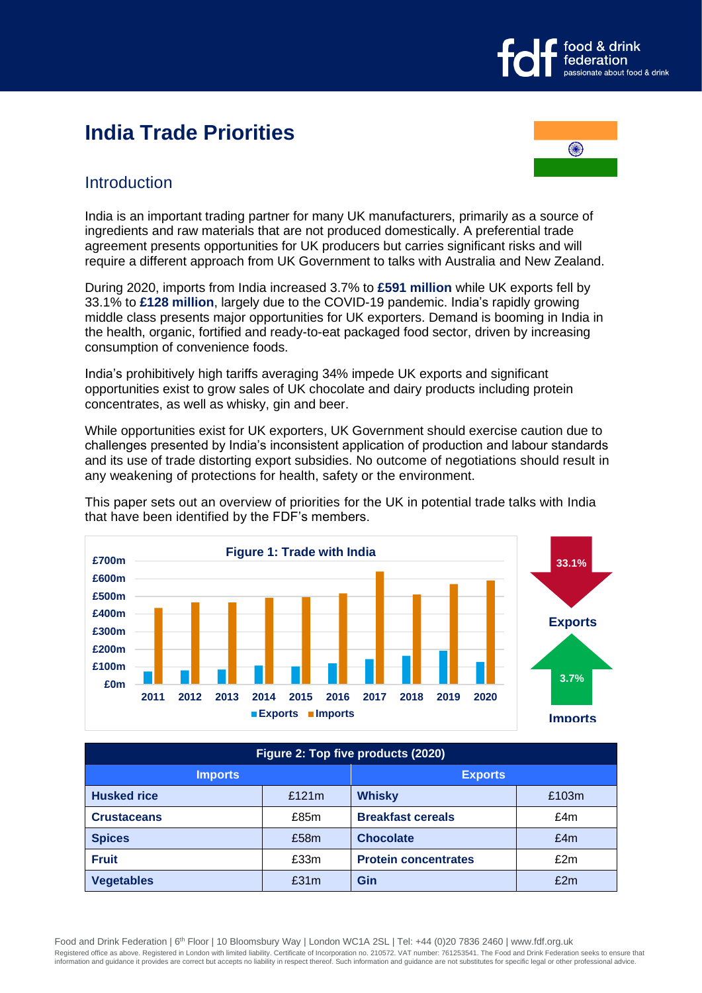

# **India Trade Priorities**



# **Introduction**

India is an important trading partner for many UK manufacturers, primarily as a source of ingredients and raw materials that are not produced domestically. A preferential trade agreement presents opportunities for UK producers but carries significant risks and will require a different approach from UK Government to talks with Australia and New Zealand.

During 2020, imports from India increased 3.7% to **£591 million** while UK exports fell by 33.1% to **£128 million**, largely due to the COVID-19 pandemic. India's rapidly growing middle class presents major opportunities for UK exporters. Demand is booming in India in the health, organic, fortified and ready-to-eat packaged food sector, driven by increasing consumption of convenience foods.

India's prohibitively high tariffs averaging 34% impede UK exports and significant opportunities exist to grow sales of UK chocolate and dairy products including protein concentrates, as well as whisky, gin and beer.

While opportunities exist for UK exporters, UK Government should exercise caution due to challenges presented by India's inconsistent application of production and labour standards and its use of trade distorting export subsidies. No outcome of negotiations should result in any weakening of protections for health, safety or the environment.



This paper sets out an overview of priorities for the UK in potential trade talks with India that have been identified by the FDF's members.

| Figure 2: Top five products (2020) |          |                             |       |
|------------------------------------|----------|-----------------------------|-------|
| <b>Imports</b>                     |          | <b>Exports</b>              |       |
| <b>Husked rice</b>                 | £121 $m$ | Whisky                      | £103m |
| <b>Crustaceans</b>                 | £85m     | <b>Breakfast cereals</b>    | £4m   |
| <b>Spices</b>                      | £58m     | <b>Chocolate</b>            | £4m   |
| <b>Fruit</b>                       | £33m     | <b>Protein concentrates</b> | £2m   |
| <b>Vegetables</b>                  | £31m     | Gin                         | £2m   |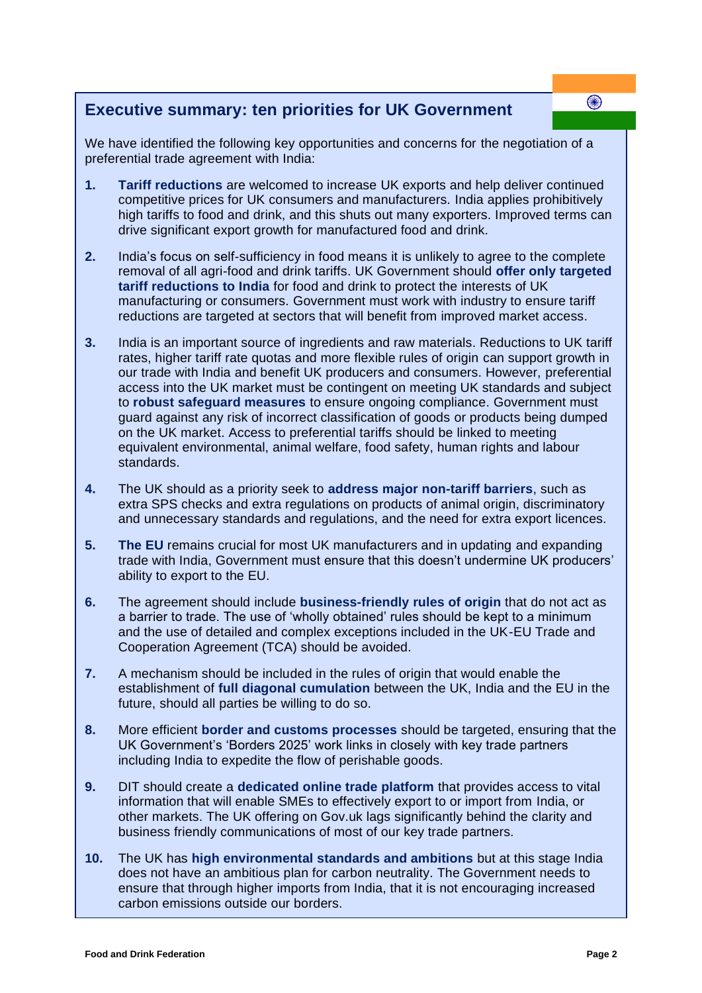# **Executive summary: ten priorities for UK Government**

We have identified the following key opportunities and concerns for the negotiation of a preferential trade agreement with India:

- **1. Tariff reductions** are welcomed to increase UK exports and help deliver continued competitive prices for UK consumers and manufacturers. India applies prohibitively high tariffs to food and drink, and this shuts out many exporters. Improved terms can drive significant export growth for manufactured food and drink.
- **2.** India's focus on self-sufficiency in food means it is unlikely to agree to the complete removal of all agri-food and drink tariffs. UK Government should **offer only targeted tariff reductions to India** for food and drink to protect the interests of UK manufacturing or consumers. Government must work with industry to ensure tariff reductions are targeted at sectors that will benefit from improved market access.
- **3.** India is an important source of ingredients and raw materials. Reductions to UK tariff rates, higher tariff rate quotas and more flexible rules of origin can support growth in our trade with India and benefit UK producers and consumers. However, preferential access into the UK market must be contingent on meeting UK standards and subject to **robust safeguard measures** to ensure ongoing compliance. Government must guard against any risk of incorrect classification of goods or products being dumped on the UK market. Access to preferential tariffs should be linked to meeting equivalent environmental, animal welfare, food safety, human rights and labour standards.
- **4.** The UK should as a priority seek to **address major non-tariff barriers**, such as extra SPS checks and extra regulations on products of animal origin, discriminatory and unnecessary standards and regulations, and the need for extra export licences.
- **5. The EU** remains crucial for most UK manufacturers and in updating and expanding trade with India, Government must ensure that this doesn't undermine UK producers' ability to export to the EU.
- **6.** The agreement should include **business-friendly rules of origin** that do not act as a barrier to trade. The use of 'wholly obtained' rules should be kept to a minimum and the use of detailed and complex exceptions included in the UK-EU Trade and Cooperation Agreement (TCA) should be avoided.
- **7.** A mechanism should be included in the rules of origin that would enable the establishment of **full diagonal cumulation** between the UK, India and the EU in the future, should all parties be willing to do so.
- **8.** More efficient **border and customs processes** should be targeted, ensuring that the UK Government's 'Borders 2025' work links in closely with key trade partners including India to expedite the flow of perishable goods.
- **9.** DIT should create a **dedicated online trade platform** that provides access to vital information that will enable SMEs to effectively export to or import from India, or other markets. The UK offering on Gov.uk lags significantly behind the clarity and business friendly communications of most of our key trade partners.
- **10.** The UK has **high environmental standards and ambitions** but at this stage India does not have an ambitious plan for carbon neutrality. The Government needs to ensure that through higher imports from India, that it is not encouraging increased carbon emissions outside our borders.

❀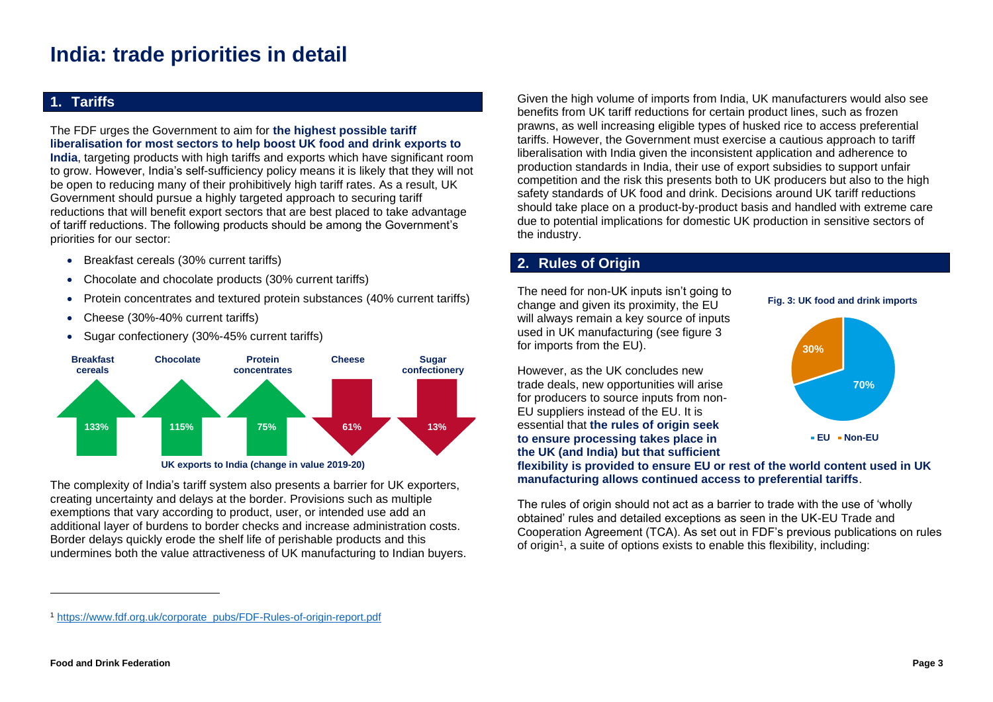# **India: trade priorities in detail**

## **1. Tariffs**

The FDF urges the Government to aim for **the highest possible tariff liberalisation for most sectors to help boost UK food and drink exports to India**, targeting products with high tariffs and exports which have significant room to grow. However, India's self-sufficiency policy means it is likely that they will not be open to reducing many of their prohibitively high tariff rates. As a result, UK Government should pursue a highly targeted approach to securing tariff reductions that will benefit export sectors that are best placed to take advantage of tariff reductions. The following products should be among the Government's priorities for our sector:

- Breakfast cereals (30% current tariffs)
- Chocolate and chocolate products (30% current tariffs)
- Protein concentrates and textured protein substances (40% current tariffs)
- Cheese (30%-40% current tariffs)
- Sugar confectionery (30%-45% current tariffs)



The complexity of India's tariff system also presents a barrier for UK exporters, creating uncertainty and delays at the border. Provisions such as multiple exemptions that vary according to product, user, or intended use add an additional layer of burdens to border checks and increase administration costs. Border delays quickly erode the shelf life of perishable products and this undermines both the value attractiveness of UK manufacturing to Indian buyers.

Given the high volume of imports from India, UK manufacturers would also see benefits from UK tariff reductions for certain product lines, such as frozen prawns, as well increasing eligible types of husked rice to access preferential tariffs. However, the Government must exercise a cautious approach to tariff liberalisation with India given the inconsistent application and adherence to production standards in India, their use of export subsidies to support unfair competition and the risk this presents both to UK producers but also to the high safety standards of UK food and drink. Decisions around UK tariff reductions should take place on a product-by-product basis and handled with extreme care due to potential implications for domestic UK production in sensitive sectors of the industry.

# **2. Rules of Origin**

The need for non-UK inputs isn't going to change and given its proximity, the EU will always remain a key source of inputs used in UK manufacturing (see figure 3 for imports from the EU).

However, as the UK concludes new trade deals, new opportunities will arise for producers to source inputs from non-EU suppliers instead of the EU. It is essential that **the rules of origin seek to ensure processing takes place in the UK (and India) but that sufficient** 

#### **Fig. 3: UK food and drink imports**



**flexibility is provided to ensure EU or rest of the world content used in UK manufacturing allows continued access to preferential tariffs**.

The rules of origin should not act as a barrier to trade with the use of 'wholly obtained' rules and detailed exceptions as seen in the UK-EU Trade and Cooperation Agreement (TCA). As set out in FDF's previous publications on rules of origin<sup>1</sup>, a suite of options exists to enable this flexibility, including:

<sup>1</sup> [https://www.fdf.org.uk/corporate\\_pubs/FDF-Rules-of-origin-report.pdf](https://www.fdf.org.uk/corporate_pubs/FDF-Rules-of-origin-report.pdf)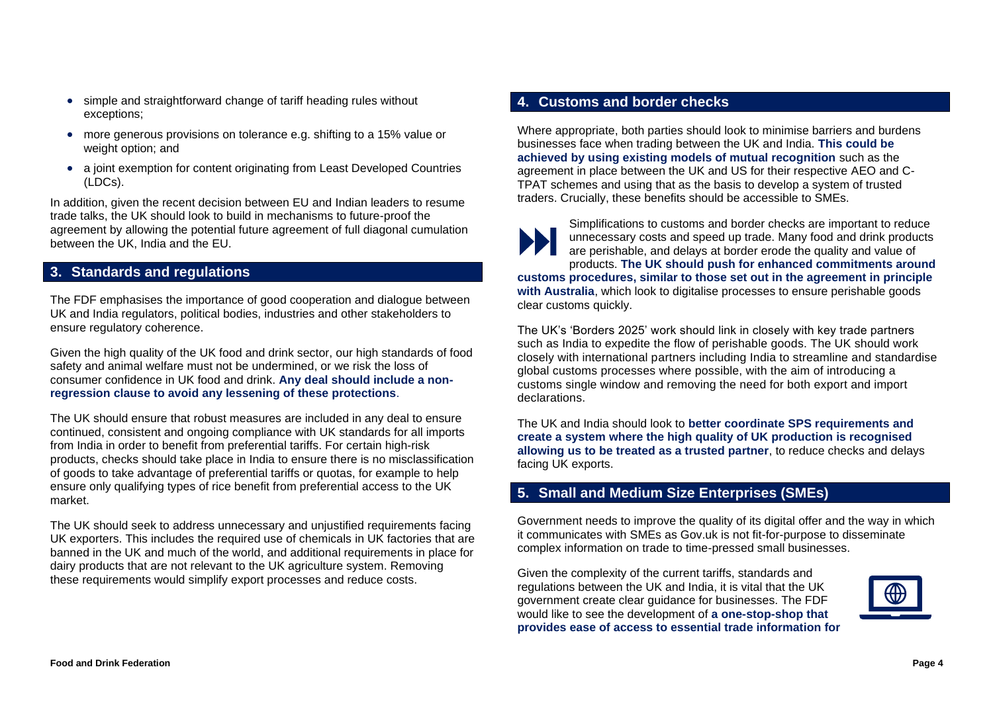- simple and straightforward change of tariff heading rules without exceptions;
- more generous provisions on tolerance e.g. shifting to a 15% value or weight option; and
- a joint exemption for content originating from Least Developed Countries (LDCs).

In addition, given the recent decision between EU and Indian leaders to resume trade talks, the UK should look to build in mechanisms to future-proof the agreement by allowing the potential future agreement of full diagonal cumulation between the UK, India and the EU.

#### **3. Standards and regulations**

The FDF emphasises the importance of good cooperation and dialogue between UK and India regulators, political bodies, industries and other stakeholders to ensure regulatory coherence.

Given the high quality of the UK food and drink sector, our high standards of food safety and animal welfare must not be undermined, or we risk the loss of consumer confidence in UK food and drink. **Any deal should include a nonregression clause to avoid any lessening of these protections**.

The UK should ensure that robust measures are included in any deal to ensure continued, consistent and ongoing compliance with UK standards for all imports from India in order to benefit from preferential tariffs. For certain high-risk products, checks should take place in India to ensure there is no misclassification of goods to take advantage of preferential tariffs or quotas, for example to help ensure only qualifying types of rice benefit from preferential access to the UK market.

The UK should seek to address unnecessary and unjustified requirements facing UK exporters. This includes the required use of chemicals in UK factories that are banned in the UK and much of the world, and additional requirements in place for dairy products that are not relevant to the UK agriculture system. Removing these requirements would simplify export processes and reduce costs.

### **4. Customs and border checks**

Where appropriate, both parties should look to minimise barriers and burdens businesses face when trading between the UK and India. **This could be achieved by using existing models of mutual recognition** such as the agreement in place between the UK and US for their respective AEO and C-TPAT schemes and using that as the basis to develop a system of trusted traders. Crucially, these benefits should be accessible to SMEs.

Simplifications to customs and border checks are important to reduce unnecessary costs and speed up trade. Many food and drink products are perishable, and delays at border erode the quality and value of products. **The UK should push for enhanced commitments around customs procedures, similar to those set out in the agreement in principle with Australia**, which look to digitalise processes to ensure perishable goods clear customs quickly.

The UK's 'Borders 2025' work should link in closely with key trade partners such as India to expedite the flow of perishable goods. The UK should work closely with international partners including India to streamline and standardise global customs processes where possible, with the aim of introducing a customs single window and removing the need for both export and import declarations.

The UK and India should look to **better coordinate SPS requirements and create a system where the high quality of UK production is recognised allowing us to be treated as a trusted partner**, to reduce checks and delays facing UK exports.

### **5. Small and Medium Size Enterprises (SMEs)**

Government needs to improve the quality of its digital offer and the way in which it communicates with SMEs as Gov.uk is not fit-for-purpose to disseminate complex information on trade to time-pressed small businesses.

Given the complexity of the current tariffs, standards and regulations between the UK and India, it is vital that the UK government create clear guidance for businesses. The FDF would like to see the development of **a one-stop-shop that provides ease of access to essential trade information for**